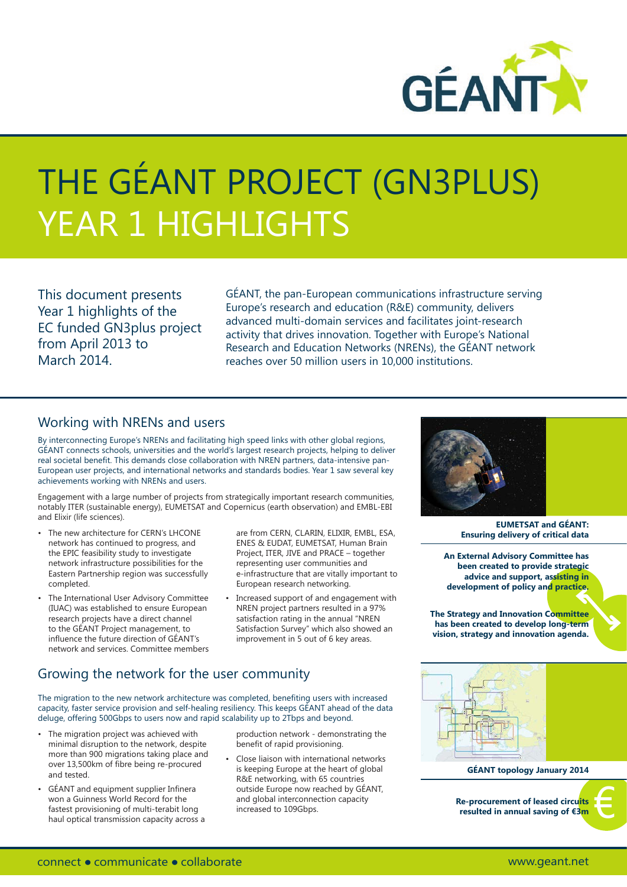

# THE GÉANT PROJECT (GN3PLUS) YEAR 1 HIGHLIGHTS

This document presents Year 1 highlights of the EC funded GN3plus project from April 2013 to March 2014.

GÉANT, the pan-European communications infrastructure serving Europe's research and education (R&E) community, delivers advanced multi-domain services and facilitates joint-research activity that drives innovation. Together with Europe's National Research and Education Networks (NRENs), the GÉANT network reaches over 50 million users in 10,000 institutions.

#### Working with NRENs and users

By interconnecting Europe's NRENs and facilitating high speed links with other global regions, GÉANT connects schools, universities and the world's largest research projects, helping to deliver real societal benefit. This demands close collaboration with NREN partners, data-intensive pan-European user projects, and international networks and standards bodies. Year 1 saw several key achievements working with NRENs and users.

Engagement with a large number of projects from strategically important research communities, notably ITER (sustainable energy), EUMETSAT and Copernicus (earth observation) and EMBL-EBI and Elixir (life sciences).

- The new architecture for CERN's LHCONE network has continued to progress, and the EPIC feasibility study to investigate network infrastructure possibilities for the Eastern Partnership region was successfully completed.
- The International User Advisory Committee (IUAC) was established to ensure European research projects have a direct channel to the GÉANT Project management, to influence the future direction of GÉANT's network and services. Committee members
- are from CERN, CLARIN, ELIXIR, EMBL, ESA, ENES & EUDAT, EUMETSAT, Human Brain Project, ITER, JIVE and PRACE – together representing user communities and e-infrastructure that are vitally important to European research networking.
- Increased support of and engagement with NREN project partners resulted in a 97% satisfaction rating in the annual "NREN Satisfaction Survey" which also showed an improvement in 5 out of 6 key areas.

### Growing the network for the user community

The migration to the new network architecture was completed, benefiting users with increased capacity, faster service provision and self-healing resiliency. This keeps GÉANT ahead of the data deluge, offering 500Gbps to users now and rapid scalability up to 2Tbps and beyond.

- The migration project was achieved with minimal disruption to the network, despite more than 900 migrations taking place and over 13,500km of fibre being re-procured and tested.
- GÉANT and equipment supplier Infinera won a Guinness World Record for the fastest provisioning of multi-terabit long haul optical transmission capacity across a

production network - demonstrating the benefit of rapid provisioning.

• Close liaison with international networks is keeping Europe at the heart of global R&E networking, with 65 countries outside Europe now reached by GÉANT, and global interconnection capacity increased to 109Gbps.



**EUMETSAT and GÉANT: Ensuring delivery of critical data**

**An External Advisory Committee has been created to provide strategic advice and support, assisting in development of policy and practice.**

**The Strategy and Innovation Committee has been created to develop long-term vision, strategy and innovation agenda.**



**GÉANT topology January 2014**